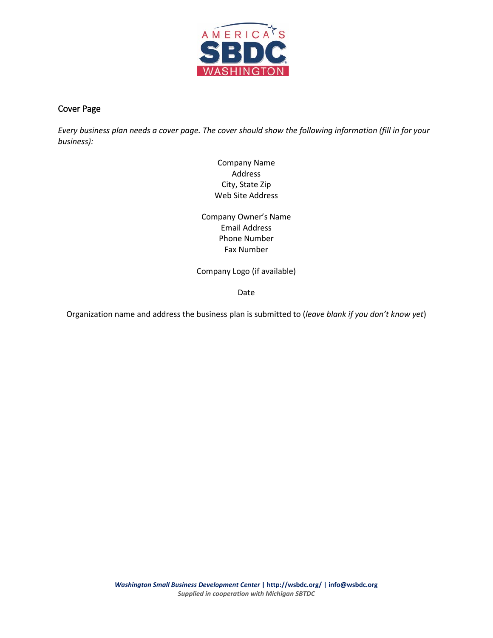

# Cover Page

*Every business plan needs a cover page. The cover should show the following information (fill in for your business):*

> Company Name Address City, State Zip Web Site Address

Company Owner's Name Email Address Phone Number Fax Number

Company Logo (if available)

Date

Organization name and address the business plan is submitted to (*leave blank if you don't know yet*)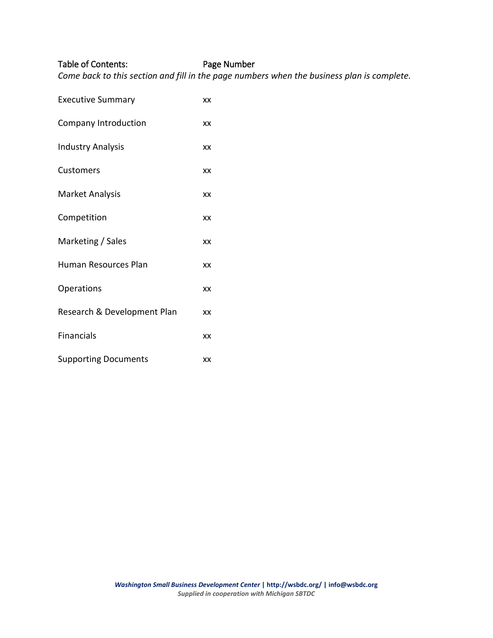#### Table of Contents: Page Number

*Come back to this section and fill in the page numbers when the business plan is complete.* 

Executive Summary xx Company Introduction xx Industry Analysis xx Customers xx Market Analysis xx Competition xx Marketing / Sales xx Human Resources Plan xx Operations xx Research & Development Plan xx Financials xx Supporting Documents xx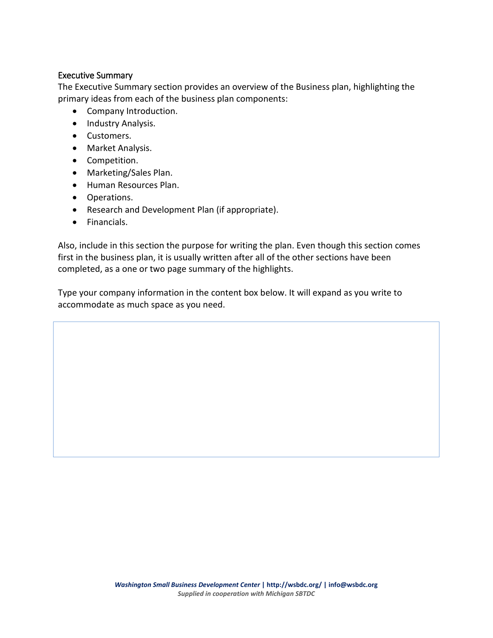## Executive Summary

The Executive Summary section provides an overview of the Business plan, highlighting the primary ideas from each of the business plan components:

- Company Introduction.
- Industry Analysis.
- Customers.
- Market Analysis.
- Competition.
- Marketing/Sales Plan.
- Human Resources Plan.
- Operations.
- Research and Development Plan (if appropriate).
- Financials.

Also, include in this section the purpose for writing the plan. Even though this section comes first in the business plan, it is usually written after all of the other sections have been completed, as a one or two page summary of the highlights.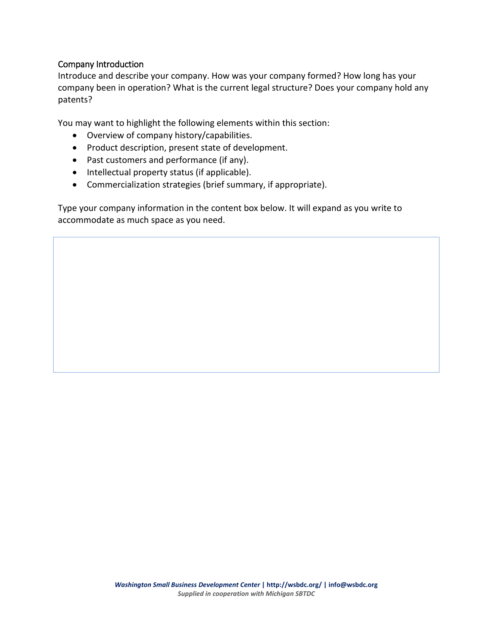## Company Introduction

Introduce and describe your company. How was your company formed? How long has your company been in operation? What is the current legal structure? Does your company hold any patents?

You may want to highlight the following elements within this section:

- Overview of company history/capabilities.
- Product description, present state of development.
- Past customers and performance (if any).
- Intellectual property status (if applicable).
- Commercialization strategies (brief summary, if appropriate).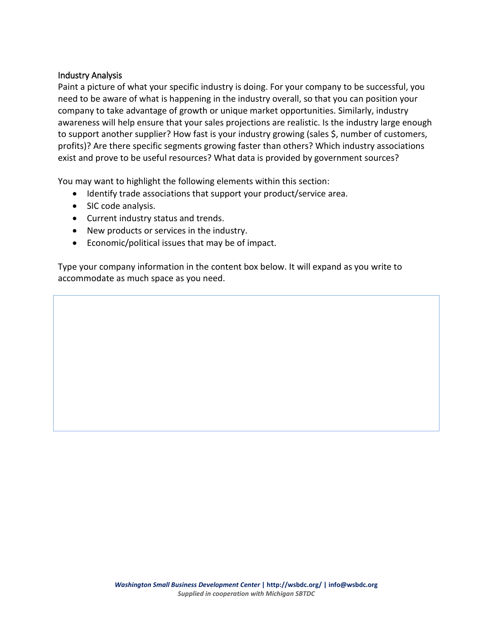# Industry Analysis

Paint a picture of what your specific industry is doing. For your company to be successful, you need to be aware of what is happening in the industry overall, so that you can position your company to take advantage of growth or unique market opportunities. Similarly, industry awareness will help ensure that your sales projections are realistic. Is the industry large enough to support another supplier? How fast is your industry growing (sales \$, number of customers, profits)? Are there specific segments growing faster than others? Which industry associations exist and prove to be useful resources? What data is provided by government sources?

You may want to highlight the following elements within this section:

- Identify trade associations that support your product/service area.
- SIC code analysis.
- Current industry status and trends.
- New products or services in the industry.
- Economic/political issues that may be of impact.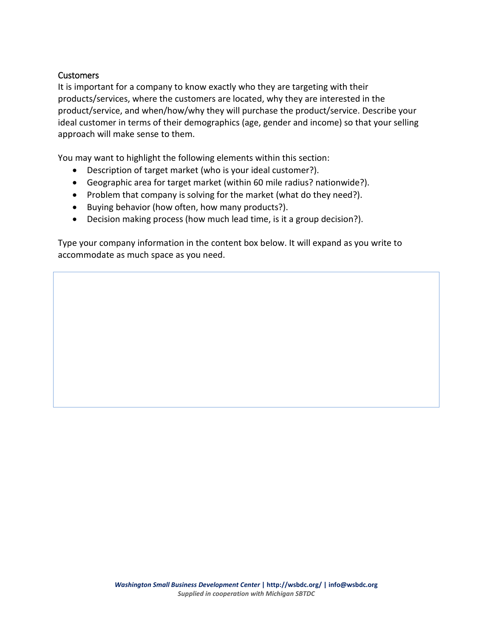#### **Customers**

It is important for a company to know exactly who they are targeting with their products/services, where the customers are located, why they are interested in the product/service, and when/how/why they will purchase the product/service. Describe your ideal customer in terms of their demographics (age, gender and income) so that your selling approach will make sense to them.

You may want to highlight the following elements within this section:

- Description of target market (who is your ideal customer?).
- Geographic area for target market (within 60 mile radius? nationwide?).
- Problem that company is solving for the market (what do they need?).
- Buying behavior (how often, how many products?).
- Decision making process (how much lead time, is it a group decision?).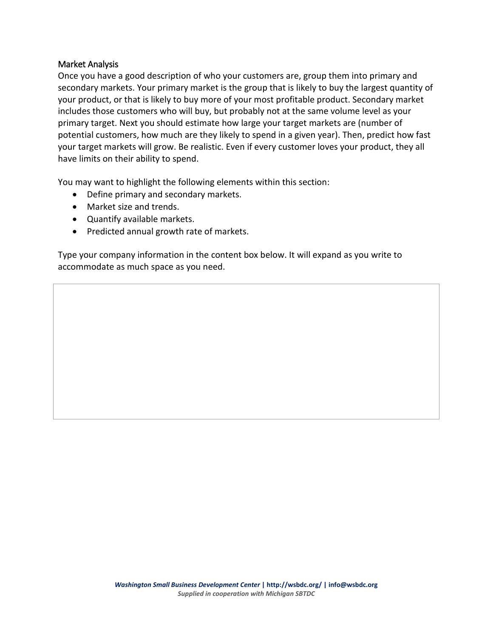#### Market Analysis

Once you have a good description of who your customers are, group them into primary and secondary markets. Your primary market is the group that is likely to buy the largest quantity of your product, or that is likely to buy more of your most profitable product. Secondary market includes those customers who will buy, but probably not at the same volume level as your primary target. Next you should estimate how large your target markets are (number of potential customers, how much are they likely to spend in a given year). Then, predict how fast your target markets will grow. Be realistic. Even if every customer loves your product, they all have limits on their ability to spend.

You may want to highlight the following elements within this section:

- Define primary and secondary markets.
- Market size and trends.
- Quantify available markets.
- Predicted annual growth rate of markets.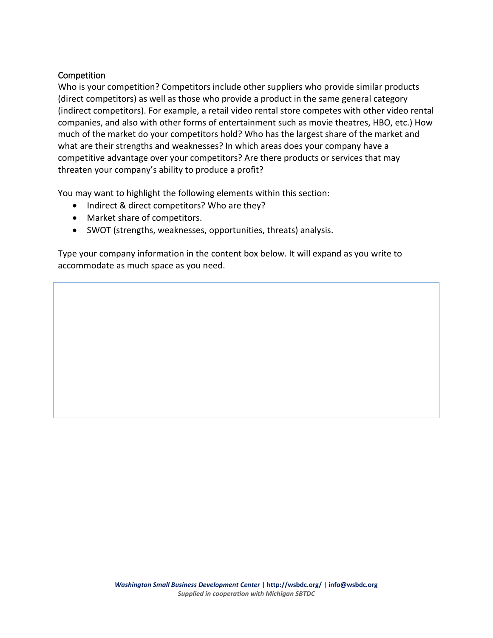# **Competition**

Who is your competition? Competitors include other suppliers who provide similar products (direct competitors) as well as those who provide a product in the same general category (indirect competitors). For example, a retail video rental store competes with other video rental companies, and also with other forms of entertainment such as movie theatres, HBO, etc.) How much of the market do your competitors hold? Who has the largest share of the market and what are their strengths and weaknesses? In which areas does your company have a competitive advantage over your competitors? Are there products or services that may threaten your company's ability to produce a profit?

You may want to highlight the following elements within this section:

- Indirect & direct competitors? Who are they?
- Market share of competitors.
- SWOT (strengths, weaknesses, opportunities, threats) analysis.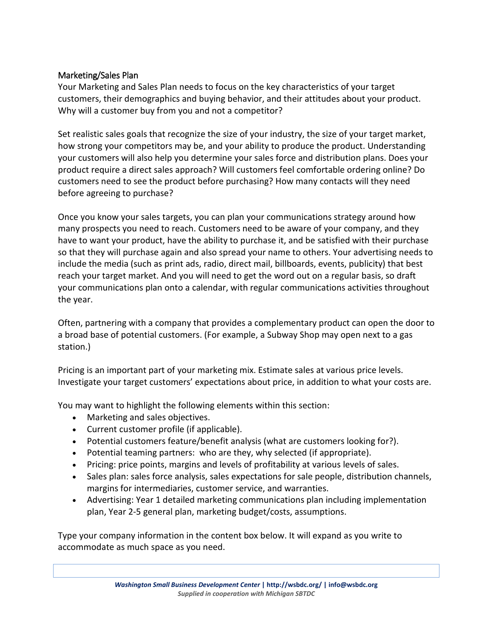# Marketing/Sales Plan

Your Marketing and Sales Plan needs to focus on the key characteristics of your target customers, their demographics and buying behavior, and their attitudes about your product. Why will a customer buy from you and not a competitor?

Set realistic sales goals that recognize the size of your industry, the size of your target market, how strong your competitors may be, and your ability to produce the product. Understanding your customers will also help you determine your sales force and distribution plans. Does your product require a direct sales approach? Will customers feel comfortable ordering online? Do customers need to see the product before purchasing? How many contacts will they need before agreeing to purchase?

Once you know your sales targets, you can plan your communications strategy around how many prospects you need to reach. Customers need to be aware of your company, and they have to want your product, have the ability to purchase it, and be satisfied with their purchase so that they will purchase again and also spread your name to others. Your advertising needs to include the media (such as print ads, radio, direct mail, billboards, events, publicity) that best reach your target market. And you will need to get the word out on a regular basis, so draft your communications plan onto a calendar, with regular communications activities throughout the year.

Often, partnering with a company that provides a complementary product can open the door to a broad base of potential customers. (For example, a Subway Shop may open next to a gas station.)

Pricing is an important part of your marketing mix. Estimate sales at various price levels. Investigate your target customers' expectations about price, in addition to what your costs are.

You may want to highlight the following elements within this section:

- Marketing and sales objectives.
- Current customer profile (if applicable).
- Potential customers feature/benefit analysis (what are customers looking for?).
- Potential teaming partners: who are they, why selected (if appropriate).
- Pricing: price points, margins and levels of profitability at various levels of sales.
- Sales plan: sales force analysis, sales expectations for sale people, distribution channels, margins for intermediaries, customer service, and warranties.
- Advertising: Year 1 detailed marketing communications plan including implementation plan, Year 2-5 general plan, marketing budget/costs, assumptions.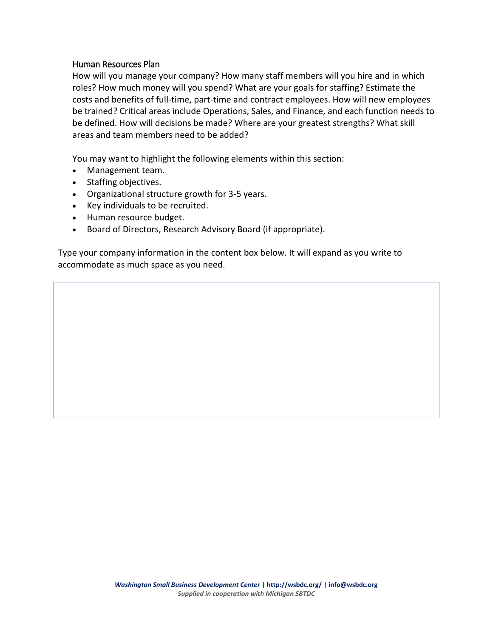#### Human Resources Plan

How will you manage your company? How many staff members will you hire and in which roles? How much money will you spend? What are your goals for staffing? Estimate the costs and benefits of full-time, part-time and contract employees. How will new employees be trained? Critical areas include Operations, Sales, and Finance, and each function needs to be defined. How will decisions be made? Where are your greatest strengths? What skill areas and team members need to be added?

You may want to highlight the following elements within this section:

- Management team.
- Staffing objectives.
- Organizational structure growth for 3-5 years.
- Key individuals to be recruited.
- Human resource budget.
- Board of Directors, Research Advisory Board (if appropriate).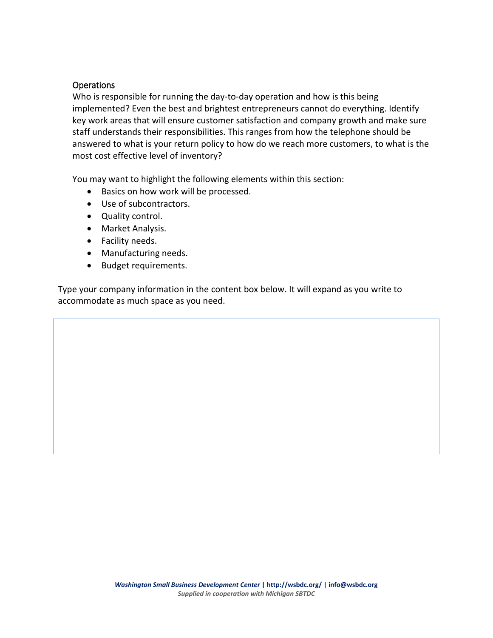# **Operations**

Who is responsible for running the day-to-day operation and how is this being implemented? Even the best and brightest entrepreneurs cannot do everything. Identify key work areas that will ensure customer satisfaction and company growth and make sure staff understands their responsibilities. This ranges from how the telephone should be answered to what is your return policy to how do we reach more customers, to what is the most cost effective level of inventory?

You may want to highlight the following elements within this section:

- Basics on how work will be processed.
- Use of subcontractors.
- Quality control.
- Market Analysis.
- Facility needs.
- Manufacturing needs.
- Budget requirements.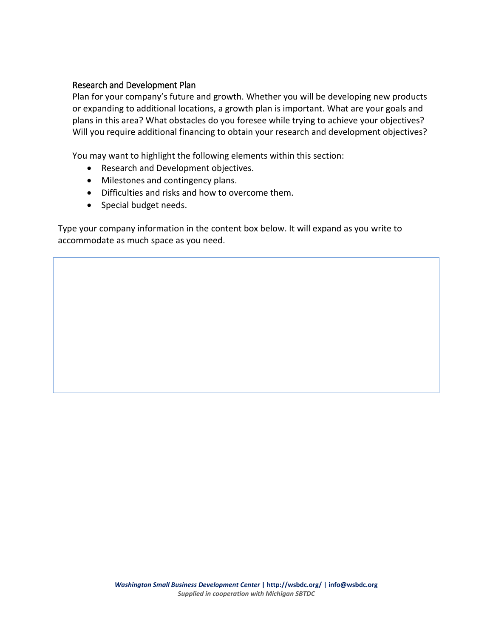#### Research and Development Plan

Plan for your company's future and growth. Whether you will be developing new products or expanding to additional locations, a growth plan is important. What are your goals and plans in this area? What obstacles do you foresee while trying to achieve your objectives? Will you require additional financing to obtain your research and development objectives?

You may want to highlight the following elements within this section:

- Research and Development objectives.
- Milestones and contingency plans.
- Difficulties and risks and how to overcome them.
- Special budget needs.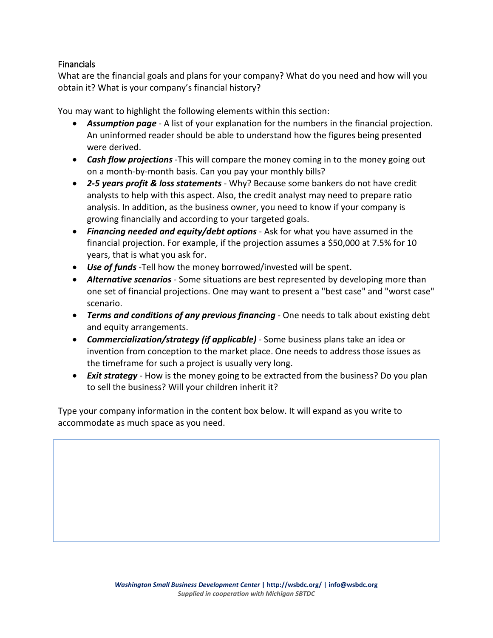# Financials

What are the financial goals and plans for your company? What do you need and how will you obtain it? What is your company's financial history?

You may want to highlight the following elements within this section:

- *Assumption page* A list of your explanation for the numbers in the financial projection. An uninformed reader should be able to understand how the figures being presented were derived.
- *Cash flow projections* -This will compare the money coming in to the money going out on a month-by-month basis. Can you pay your monthly bills?
- *2-5 years profit & loss statements* Why? Because some bankers do not have credit analysts to help with this aspect. Also, the credit analyst may need to prepare ratio analysis. In addition, as the business owner, you need to know if your company is growing financially and according to your targeted goals.
- *Financing needed and equity/debt options* Ask for what you have assumed in the financial projection. For example, if the projection assumes a \$50,000 at 7.5% for 10 years, that is what you ask for.
- *Use of funds* -Tell how the money borrowed/invested will be spent.
- *Alternative scenarios* Some situations are best represented by developing more than one set of financial projections. One may want to present a "best case" and "worst case" scenario.
- *Terms and conditions of any previous financing* One needs to talk about existing debt and equity arrangements.
- *Commercialization/strategy (if applicable)* Some business plans take an idea or invention from conception to the market place. One needs to address those issues as the timeframe for such a project is usually very long.
- *Exit strategy* How is the money going to be extracted from the business? Do you plan to sell the business? Will your children inherit it?